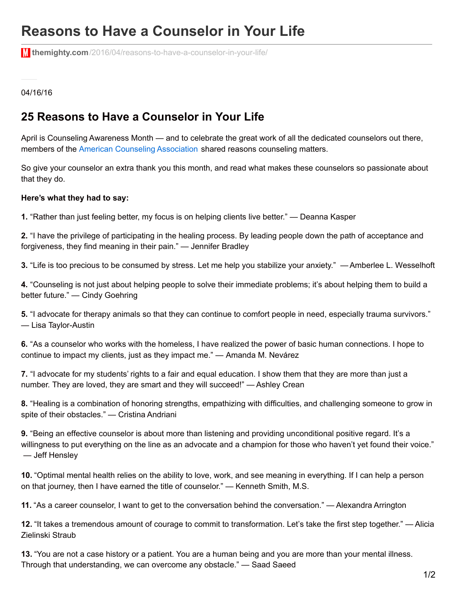## **Reasons to Have a Counselor in Your Life**

**themighty.com**[/2016/04/reasons-to-have-a-counselor-in-your-life/](https://themighty.com/2016/04/reasons-to-have-a-counselor-in-your-life/)

04/16/16

## **25 Reasons to Have a Counselor in Your Life**

April is Counseling Awareness Month — and to celebrate the great work of all the dedicated counselors out there, members of the American Counseling [Association](https://www.counseling.org/) shared reasons counseling matters.

So give your counselor an extra thank you this month, and read what makes these counselors so passionate about that they do.

## **Here's what they had to say:**

**1.** "Rather than just feeling better, my focus is on helping clients live better." — Deanna Kasper

**2.** "I have the privilege of participating in the healing process. By leading people down the path of acceptance and forgiveness, they find meaning in their pain." — Jennifer Bradley

**3.** "Life is too precious to be consumed by stress. Let me help you stabilize your anxiety." — Amberlee L. Wesselhoft

**4.** "Counseling is not just about helping people to solve their immediate problems; it's about helping them to build a better future." — Cindy Goehring

**5.** "I advocate for therapy animals so that they can continue to comfort people in need, especially trauma survivors." — Lisa Taylor-Austin

**6.** "As a counselor who works with the homeless, I have realized the power of basic human connections. I hope to continue to impact my clients, just as they impact me." — Amanda M. Nevárez

**7.** "I advocate for my students' rights to a fair and equal education. I show them that they are more than just a number. They are loved, they are smart and they will succeed!" — Ashley Crean

**8.** "Healing is a combination of honoring strengths, empathizing with difficulties, and challenging someone to grow in spite of their obstacles." — Cristina Andriani

**9.** "Being an effective counselor is about more than listening and providing unconditional positive regard. It's a willingness to put everything on the line as an advocate and a champion for those who haven't yet found their voice." — Jeff Hensley

**10.** "Optimal mental health relies on the ability to love, work, and see meaning in everything. If I can help a person on that journey, then I have earned the title of counselor." — Kenneth Smith, M.S.

**11.** "As a career counselor, I want to get to the conversation behind the conversation." — Alexandra Arrington

**12.** "It takes a tremendous amount of courage to commit to transformation. Let's take the first step together." — Alicia Zielinski Straub

**13.** "You are not a case history or a patient. You are a human being and you are more than your mental illness. Through that understanding, we can overcome any obstacle." — Saad Saeed